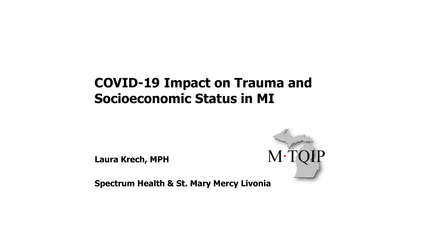### **COVID-19 Impact on Trauma and Socioeconomic Status in MI**

**Laura Krech, MPH**



**Spectrum Health & St. Mary Mercy Livonia**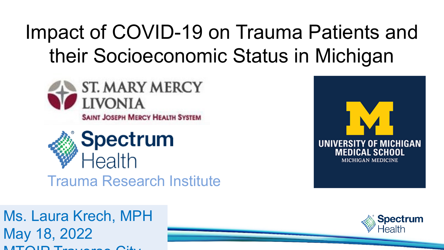# Impact of COVID-19 on Trauma Patients and their Socioeconomic Status in Michigan





12 May 18, 2022 Ms. Laura Krech, MPH  $M_{\rm T}$  $\cap$   $\Gamma_{\rm max}$   $\ldots$   $\infty$   $\cap$   $\Omega_{\rm max}$ 



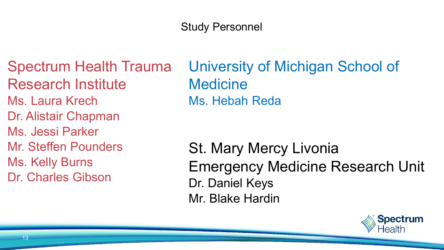#### Study Personnel

Spectrum Health Trauma Research Institute Ms. Laura Krech Dr. Alistair Chapman Ms. Jessi Parker Mr. Steffen Pounders Ms. Kelly Burns Dr. Charles Gibson

University of Michigan School of **Medicine** Ms. Hebah Reda

St. Mary Mercy Livonia Emergency Medicine Research Unit Dr. Daniel Keys Mr. Blake Hardin

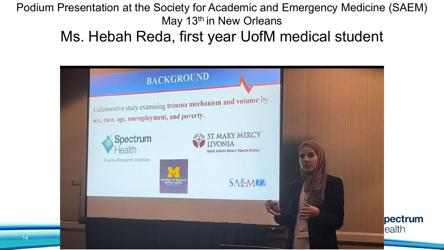#### Podium Presentation at the Society for Academic and Emergency Medicine (SAEM) May 13<sup>th</sup> in New Orleans

### Ms. Hebah Reda, first year UofM medical student

|                                                                               | <b>BACKGROUND</b>                                                                                          |                  |
|-------------------------------------------------------------------------------|------------------------------------------------------------------------------------------------------------|------------------|
|                                                                               | Collaborative study examining trauma mechanism and volume by<br>sex, race, age, unemployment, and poverty. |                  |
|                                                                               | ST. MARY MERCY<br>Spectrum<br><b>LIVONIA</b><br><b>Health</b><br><b>SAINT JOSEPH MERCY HEALTH SYSTEM</b>   |                  |
| $\frac{\partial \mathbf{f}_{\text{max}}}{\partial \mathbf{f}_{\text{max}}^2}$ | Trauma Research Institute<br><b>SAEMDD</b><br><b>DICAL SCHO</b>                                            |                  |
|                                                                               | ÷<br>p.                                                                                                    | pectrum<br>ealth |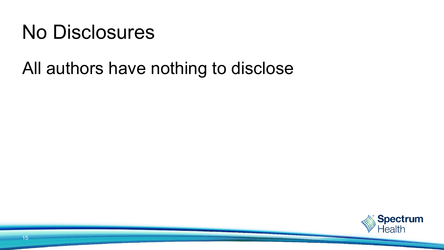## No Disclosures

### All authors have nothing to disclose

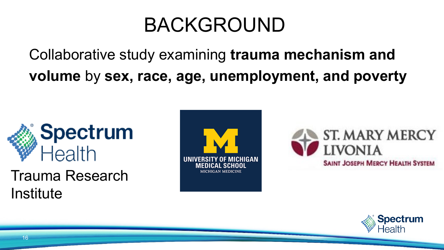## BACKGROUND

Collaborative study examining **trauma mechanism and volume** by **sex, race, age, unemployment, and poverty**



Trauma Research **Institute** 





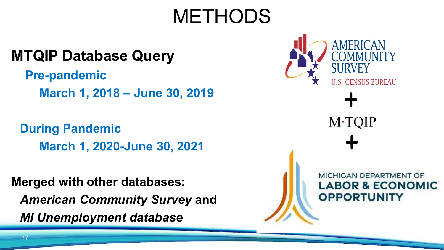# METHODS

### **MTQIP Database Query**

**Pre-pandemic** ■ **March 1, 2018 – June 30, 2019** 

**During Pandemic** ■ **March 1, 2020-June 30, 2021**

**Merged with other databases:**  *American Community Survey* **and**  *MI Unemployment database*



 $M$ ·TQIP

MICHIGAN DEPARTMENT OF **LABOR & ECONOMIC OPPORTUNITY**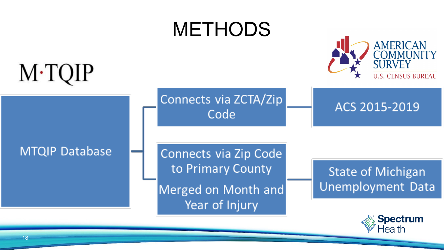

18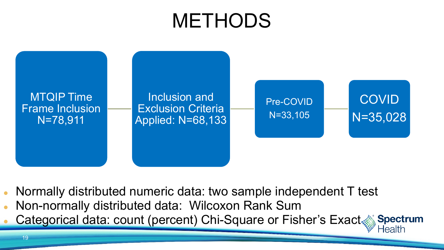# METHODS



- Normally distributed numeric data: two sample independent T test
- Non-normally distributed data: Wilcoxon Rank Sum
- Categorical data: count (percent) Chi-Square or Fisher's Exact Spectrum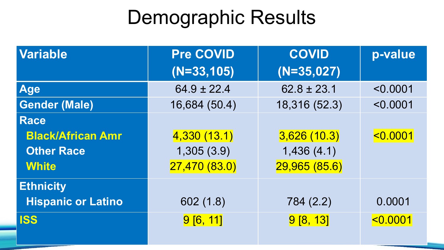# Demographic Results

| <b>Variable</b>           | <b>Pre COVID</b> | <b>COVID</b>    | p-value  |
|---------------------------|------------------|-----------------|----------|
|                           | $(N=33,105)$     | $(N=35,027)$    |          |
| <b>Age</b>                | $64.9 \pm 22.4$  | $62.8 \pm 23.1$ | < 0.0001 |
| <b>Gender (Male)</b>      | 16,684 (50.4)    | 18,316 (52.3)   | < 0.0001 |
| <b>Race</b>               |                  |                 |          |
| <b>Black/African Amr</b>  | 4,330(13.1)      | 3,626(10.3)     | 0.0001   |
| <b>Other Race</b>         | 1,305(3.9)       | 1,436(4.1)      |          |
| <b>White</b>              | 27,470(83.0)     | 29,965 (85.6)   |          |
| <b>Ethnicity</b>          |                  |                 |          |
| <b>Hispanic or Latino</b> | 602(1.8)         | 784 (2.2)       | 0.0001   |
| <b>ISS</b>                | 9[6, 11]         | 9[8, 13]        | 0.0001   |
|                           |                  |                 |          |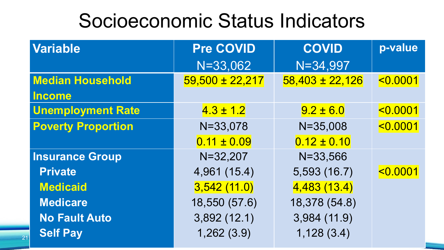### Socioeconomic Status Indicators

| <b>Variable</b>           | <b>Pre COVID</b>    | <b>COVID</b>        | p-value  |
|---------------------------|---------------------|---------------------|----------|
|                           | $N = 33,062$        | $N = 34,997$        |          |
| <b>Median Household</b>   | $59,500 \pm 22,217$ | $58,403 \pm 22,126$ | 0.0001   |
| <b>Income</b>             |                     |                     |          |
| <b>Unemployment Rate</b>  | $4.3 \pm 1.2$       | $9.2 \pm 6.0$       | < 0.0001 |
| <b>Poverty Proportion</b> | $N = 33,078$        | $N = 35,008$        | 0.0001   |
|                           | $0.11 \pm 0.09$     | $0.12 \pm 0.10$     |          |
| <b>Insurance Group</b>    | $N = 32,207$        | $N = 33,566$        |          |
| <b>Private</b>            | 4,961 (15.4)        | 5,593 (16.7)        | 0.0001   |
| <b>Medicaid</b>           | 3,542(11.0)         | 4,483(13.4)         |          |
| <b>Medicare</b>           | 18,550 (57.6)       | 18,378 (54.8)       |          |
| <b>No Fault Auto</b>      | 3,892(12.1)         | 3,984 (11.9)        |          |
| <b>Self Pay</b>           | 1,262(3.9)          | 1,128(3.4)          |          |

21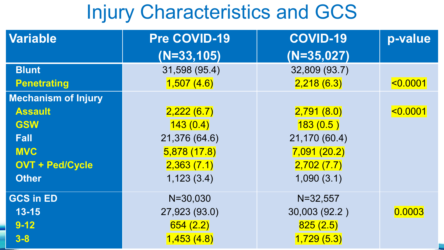## Injury Characteristics and GCS

| <b>Variable</b>            | <b>Pre COVID-19</b> | <b>COVID-19</b> | p-value |
|----------------------------|---------------------|-----------------|---------|
|                            | $(N=33,105)$        | $(N=35,027)$    |         |
| <b>Blunt</b>               | 31,598 (95.4)       | 32,809 (93.7)   |         |
| <b>Penetrating</b>         | 1,507(4.6)          | 2,218(6.3)      | 0.0001  |
| <b>Mechanism of Injury</b> |                     |                 |         |
| <b>Assault</b>             | 2,222(6.7)          | 2,791(8.0)      | 0.0001  |
| <b>GSW</b>                 | 143(0.4)            | 183(0.5)        |         |
| <b>Fall</b>                | 21,376 (64.6)       | 21,170 (60.4)   |         |
| <b>MVC</b>                 | 5,878(17.8)         | 7,091(20.2)     |         |
| <b>OVT + Ped/Cycle</b>     | 2,363(7.1)          | 2,702(7.7)      |         |
| <b>Other</b>               | 1,123(3.4)          | 1,090(3.1)      |         |
| <b>GCS in ED</b>           | $N = 30,030$        | $N = 32,557$    |         |
| $13 - 15$                  | 27,923 (93.0)       | 30,003 (92.2)   | 0.0003  |
| $9 - 12$                   | 654(2.2)            | 825(2.5)        |         |
| $3 - 8$                    | 1,453(4.8)          | 1,729(5.3)      |         |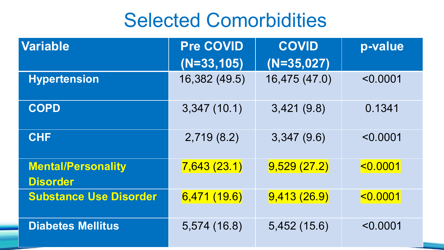### Selected Comorbidities

| <b>Variable</b>                              | <b>Pre COVID</b> | <b>COVID</b>  | p-value      |  |
|----------------------------------------------|------------------|---------------|--------------|--|
|                                              | $(N=33,105)$     | $(N=35,027)$  |              |  |
| <b>Hypertension</b>                          | 16,382 (49.5)    | 16,475 (47.0) | < 0.0001     |  |
| <b>COPD</b>                                  | 3,347(10.1)      | 3,421(9.8)    | 0.1341       |  |
| <b>CHF</b>                                   | 2,719(8.2)       | 3,347(9.6)    | < 0.0001     |  |
| <b>Mental/Personality</b><br><b>Disorder</b> | 7,643(23.1)      | 9,529(27.2)   | 0.0001       |  |
| <b>Substance Use Disorder</b>                | 6,471(19.6)      | 9,413(26.9)   | $ $ < 0.0001 |  |
| <b>Diabetes Mellitus</b>                     | 5,574 (16.8)     | 5,452(15.6)   | < 0.0001     |  |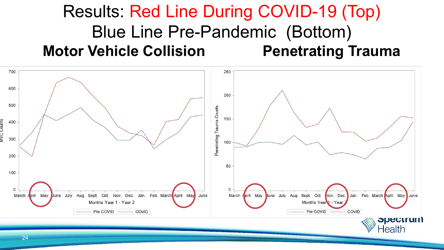### Results: Red Line During COVID-19 (Top) Blue Line Pre-Pandemic (Bottom) **Motor Vehicle Collision Fenetrating Trauma**

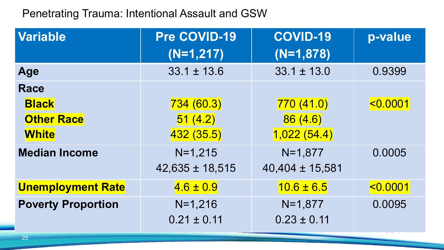#### Penetrating Trauma: Intentional Assault and GSW

| <b>Variable</b>           | Pre COVID-19        | <b>COVID-19</b>     | p-value  |  |
|---------------------------|---------------------|---------------------|----------|--|
|                           | $(N=1,217)$         | $(N=1,878)$         |          |  |
| Age                       | $33.1 \pm 13.6$     | $33.1 \pm 13.0$     | 0.9399   |  |
| <b>Race</b>               |                     |                     |          |  |
| <b>Black</b>              | 734(60.3)           | 770(41.0)           | < 0.0001 |  |
| <b>Other Race</b>         | 51(4.2)             | 86(4.6)             |          |  |
| <b>White</b>              | 432(35.5)           | 1,022(54.4)         |          |  |
| <b>Median Income</b>      | $N=1,215$           | $N=1,877$           | 0.0005   |  |
|                           | $42,635 \pm 18,515$ | $40,404 \pm 15,581$ |          |  |
| <b>Unemployment Rate</b>  | $4.6 \pm 0.9$       | $10.6 \pm 6.5$      | < 0.0001 |  |
| <b>Poverty Proportion</b> | $N=1,216$           | $N=1,877$           | 0.0095   |  |
|                           | $0.21 \pm 0.11$     | $0.23 \pm 0.11$     |          |  |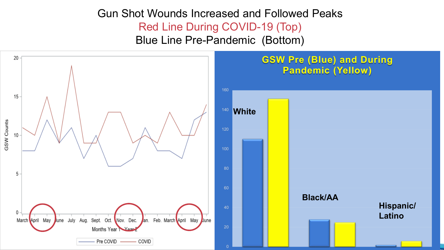#### Gun Shot Wounds Increased and Followed Peaks Red Line During COVID-19 (Top) Blue Line Pre-Pandemic (Bottom)

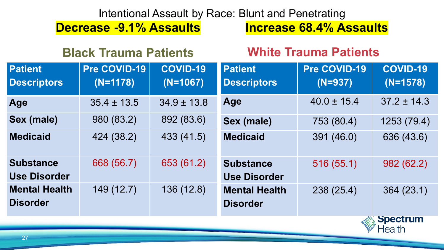#### Intentional Assault by Race: Blunt and Penetrating

**Decrease -9.1% Assaults Increase 68.4% Assaults**

| <b>Black Trauma Patients</b>            |                            |                               | <b>White Trauma Patients</b>            |                           |                               |
|-----------------------------------------|----------------------------|-------------------------------|-----------------------------------------|---------------------------|-------------------------------|
| <b>Patient</b><br><b>Descriptors</b>    | Pre COVID-19<br>$(N=1178)$ | <b>COVID-19</b><br>$(N=1067)$ | <b>Patient</b><br><b>Descriptors</b>    | Pre COVID-19<br>$(N=937)$ | <b>COVID-19</b><br>$(N=1578)$ |
| Age                                     | $35.4 \pm 13.5$            | $34.9 \pm 13.8$               | <b>Age</b>                              | $40.0 \pm 15.4$           | $37.2 \pm 14.3$               |
| <b>Sex (male)</b>                       | 980 (83.2)                 | 892 (83.6)                    | <b>Sex (male)</b>                       | 753 (80.4)                | 1253 (79.4)                   |
| <b>Medicaid</b>                         | 424 (38.2)                 | 433 (41.5)                    | <b>Medicaid</b>                         | 391 (46.0)                | 636 (43.6)                    |
| <b>Substance</b>                        | 668 (56.7)                 | 653 (61.2)                    | <b>Substance</b>                        | 516 (55.1)                | 982 (62.2)                    |
| <b>Use Disorder</b>                     |                            |                               | <b>Use Disorder</b>                     |                           |                               |
| <b>Mental Health</b><br><b>Disorder</b> | 149 (12.7)                 | 136 (12.8)                    | <b>Mental Health</b><br><b>Disorder</b> | 238(25.4)                 | 364(23.1)                     |

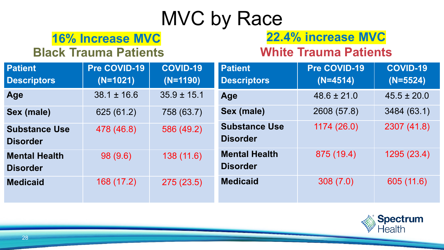# MVC by Race

### **16% Increase MVC 22.4% increase MVC**

#### **Black Trauma Patients White Trauma Patients**

| <b>Patient</b><br><b>Descriptors</b>    | Pre COVID-19<br>$(N=1021)$ | <b>COVID-19</b><br>$(N=1190)$ | <b>Patient</b><br><b>Descriptors</b>    | Pre COVID-19<br>$(N=4514)$ | <b>COVID-19</b><br>$(N=5524)$ |
|-----------------------------------------|----------------------------|-------------------------------|-----------------------------------------|----------------------------|-------------------------------|
| Age                                     | $38.1 \pm 16.6$            | $35.9 \pm 15.1$               | Age                                     | $48.6 \pm 21.0$            | $45.5 \pm 20.0$               |
| Sex (male)                              | 625 (61.2)                 | 758 (63.7)                    | <b>Sex (male)</b>                       | 2608 (57.8)                | 3484 (63.1)                   |
| <b>Substance Use</b><br><b>Disorder</b> | 478 (46.8)                 | 586 (49.2)                    | <b>Substance Use</b><br><b>Disorder</b> | 1174 (26.0)                | 2307 (41.8)                   |
| <b>Mental Health</b><br><b>Disorder</b> | 98 (9.6)                   | 138(11.6)                     | <b>Mental Health</b><br><b>Disorder</b> | 875 (19.4)                 | 1295 (23.4)                   |
| <b>Medicaid</b>                         | 168 (17.2)                 | 275(23.5)                     | <b>Medicaid</b>                         | 308(7.0)                   | 605 (11.6)                    |

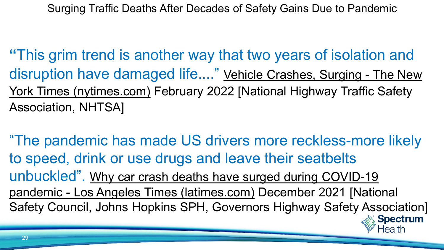Surging Traffic Deaths After Decades of Safety Gains Due to Pandemic

**"**This grim trend is another way that two years of isolation and [disruption have damaged life...." Vehicle Crashes, Surging -](https://www.nytimes.com/2022/02/15/briefing/vehicle-crashes-deaths-pandemic.html) The New York Times (nytimes.com) February 2022 [National Highway Traffic Safety Association, NHTSA]

"The pandemic has made US drivers more reckless-more likely to speed, drink or use drugs and leave their seatbelts unbuckled". [Why car crash deaths have surged during COVID-19](https://www.latimes.com/world-nation/story/2021-12-08/traffic-deaths-surged-during-covid-19-pandemic-heres-why)  pandemic - Los Angeles Times (latimes.com) December 2021 [National Safety Council, Johns Hopkins SPH, Governors Highway Safety Association]

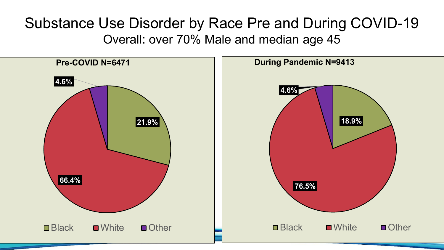### Substance Use Disorder by Race Pre and During COVID-19 Overall: over 70% Male and median age 45

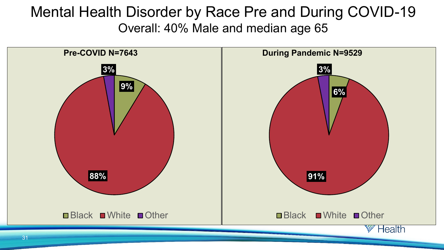### Mental Health Disorder by Race Pre and During COVID-19 Overall: 40% Male and median age 65

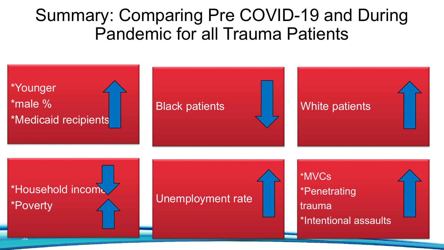### Summary: Comparing Pre COVID-19 and During Pandemic for all Trauma Patients

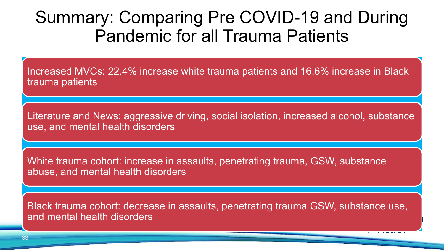### Summary: Comparing Pre COVID-19 and During Pandemic for all Trauma Patients

Increased MVCs: 22.4% increase white trauma patients and 16.6% increase in Black trauma patients

Literature and News: aggressive driving, social isolation, increased alcohol, substance use, and mental health disorders

White trauma cohort: increase in assaults, penetrating trauma, GSW, substance abuse, and mental health disorders

Black trauma cohort: decrease in assaults, penetrating trauma GSW, substance use, and mental health disorders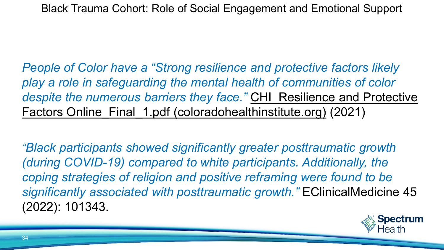*People of Color have a "Strong resilience and protective factors likely play a role in safeguarding the mental health of communities of color despite the numerous barriers they face."* CHI\_Resilience and Protective [Factors Online\\_Final\\_1.pdf \(coloradohealthinstitute.org\)](https://www.coloradohealthinstitute.org/sites/default/files/file_attachments/CHI_Resilience%20and%20Protective%20Factors%20Online_Final_1.pdf) (2021)

*"Black participants showed significantly greater posttraumatic growth (during COVID-19) compared to white participants. Additionally, the coping strategies of religion and positive reframing were found to be significantly associated with posttraumatic growth."* EClinicalMedicine 45 (2022): 101343.

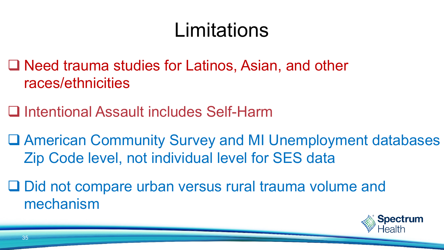# Limitations

- □ Need trauma studies for Latinos, Asian, and other races/ethnicities
- □ Intentional Assault includes Self-Harm
- American Community Survey and MI Unemployment databases Zip Code level, not individual level for SES data
- □ Did not compare urban versus rural trauma volume and mechanism